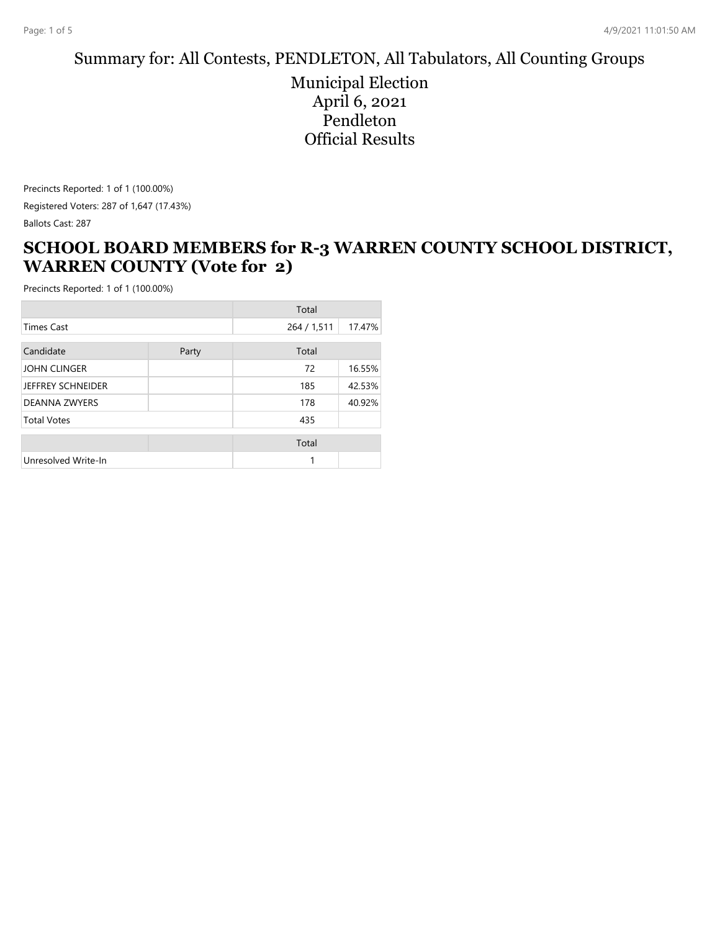#### Summary for: All Contests, PENDLETON, All Tabulators, All Counting Groups

Municipal Election April 6, 2021 Pendleton Official Results

Precincts Reported: 1 of 1 (100.00%) Registered Voters: 287 of 1,647 (17.43%) Ballots Cast: 287

### **SCHOOL BOARD MEMBERS for R-3 WARREN COUNTY SCHOOL DISTRICT, WARREN COUNTY (Vote for 2)**

|                      |       | Total       |        |
|----------------------|-------|-------------|--------|
| <b>Times Cast</b>    |       | 264 / 1,511 | 17.47% |
| Candidate            | Party | Total       |        |
| JOHN CLINGER         |       | 72          | 16.55% |
| JEFFREY SCHNEIDER    |       | 185         | 42.53% |
| <b>DEANNA ZWYERS</b> |       | 178         | 40.92% |
| <b>Total Votes</b>   |       | 435         |        |
|                      |       | Total       |        |
| Unresolved Write-In  |       | 1           |        |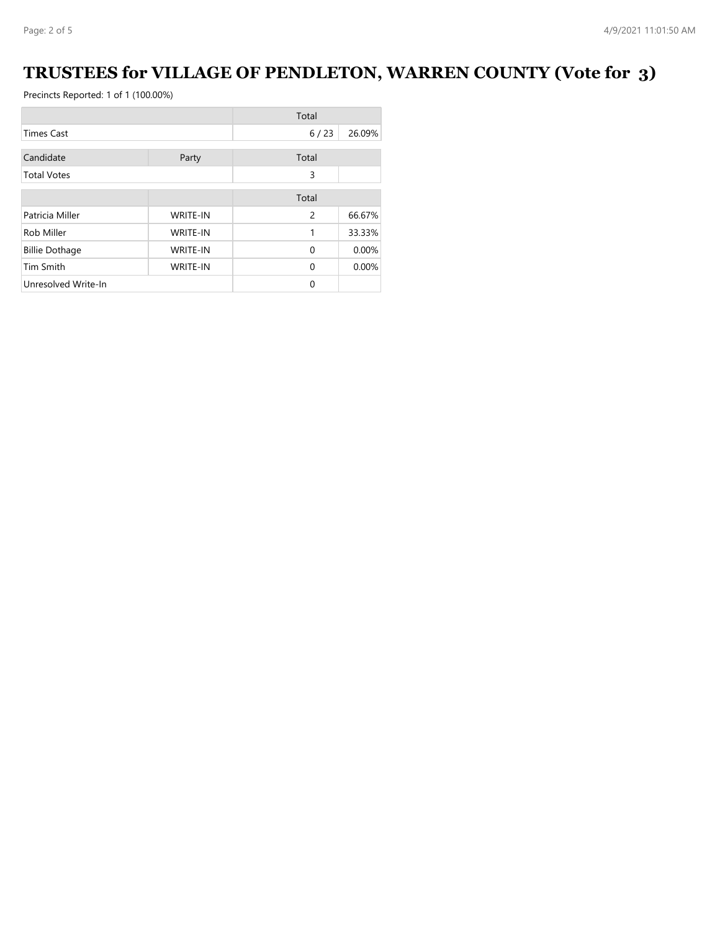# **TRUSTEES for VILLAGE OF PENDLETON, WARREN COUNTY (Vote for 3)**

|                       |                 | Total    |        |
|-----------------------|-----------------|----------|--------|
| <b>Times Cast</b>     |                 | 6/23     | 26.09% |
| Candidate             | Party           | Total    |        |
| <b>Total Votes</b>    |                 | 3        |        |
|                       |                 | Total    |        |
| Patricia Miller       | <b>WRITE-IN</b> | 2        | 66.67% |
| Rob Miller            | <b>WRITE-IN</b> | 1        | 33.33% |
| <b>Billie Dothage</b> | <b>WRITE-IN</b> | $\Omega$ | 0.00%  |
| <b>Tim Smith</b>      | <b>WRITE-IN</b> | $\Omega$ | 0.00%  |
| Unresolved Write-In   |                 | $\Omega$ |        |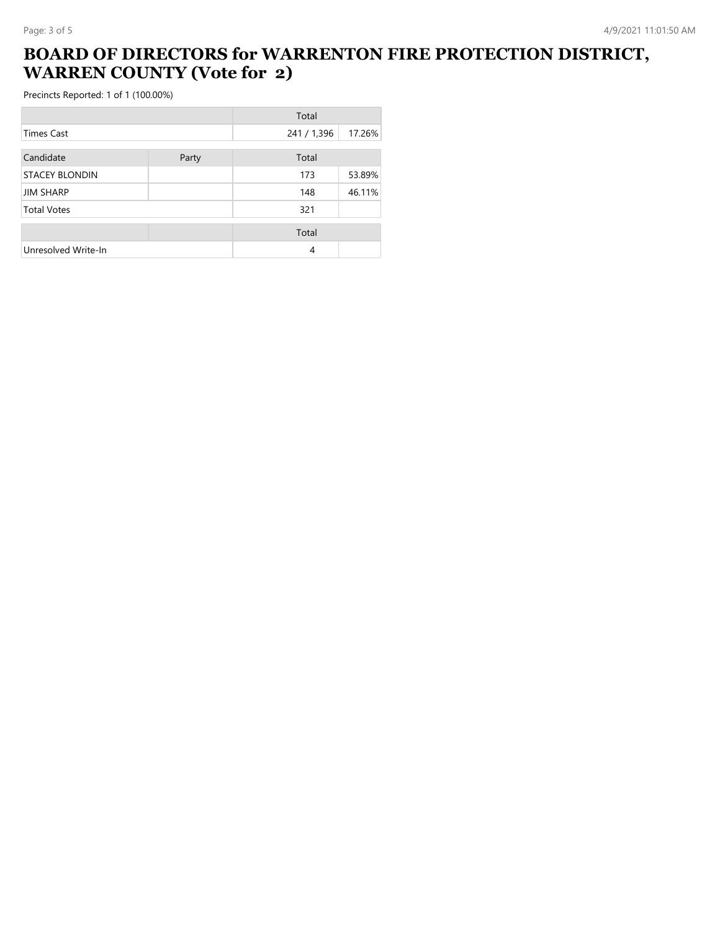## **BOARD OF DIRECTORS for WARRENTON FIRE PROTECTION DISTRICT, WARREN COUNTY (Vote for 2)**

|                       |       | Total       |        |
|-----------------------|-------|-------------|--------|
| Times Cast            |       | 241 / 1,396 | 17.26% |
| Candidate             | Party | Total       |        |
| <b>STACEY BLONDIN</b> |       | 173         | 53.89% |
| <b>JIM SHARP</b>      |       | 148         | 46.11% |
| <b>Total Votes</b>    |       | 321         |        |
|                       |       | Total       |        |
| Unresolved Write-In   |       | 4           |        |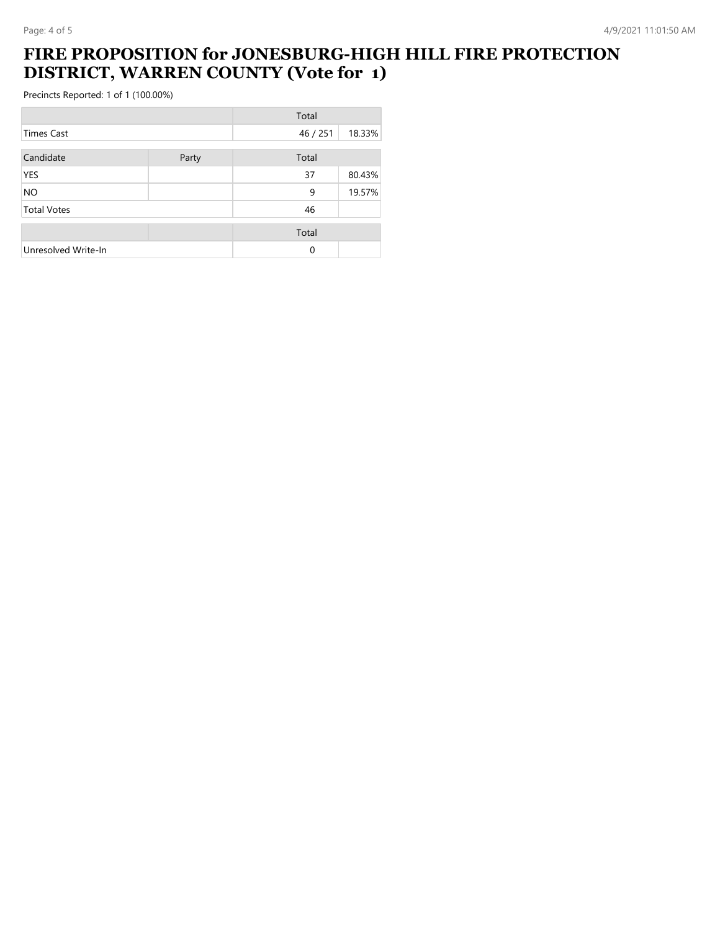#### **FIRE PROPOSITION for JONESBURG-HIGH HILL FIRE PROTECTION DISTRICT, WARREN COUNTY (Vote for 1)**

|                     |       | Total    |        |
|---------------------|-------|----------|--------|
| <b>Times Cast</b>   |       | 46 / 251 | 18.33% |
| Candidate           | Party | Total    |        |
| <b>YES</b>          |       | 37       | 80.43% |
| <b>NO</b>           |       | 9        | 19.57% |
| <b>Total Votes</b>  |       | 46       |        |
|                     |       | Total    |        |
| Unresolved Write-In |       | $\Omega$ |        |